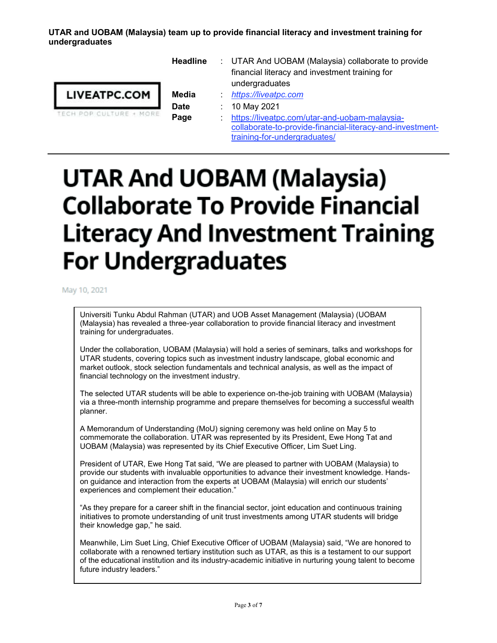## **UTAR and UOBAM (Malaysia) team up to provide financial literacy and investment training for undergraduates**

|                         | <b>Headline</b> |   | : UTAR And UOBAM (Malaysia) collaborate to provide<br>financial literacy and investment training for<br>undergraduates |
|-------------------------|-----------------|---|------------------------------------------------------------------------------------------------------------------------|
| <b>LIVEATPC.COM</b>     | Media           |   | https://liveatpc.com                                                                                                   |
|                         | <b>Date</b>     |   | 10 May 2021                                                                                                            |
| TECH POP CULTURE + MORE | Page            | ÷ | https://liveatpc.com/utar-and-uobam-malaysia-                                                                          |
|                         |                 |   | collaborate-to-provide-financial-literacy-and-investment-<br>training-for-undergraduates/                              |

## **UTAR And UOBAM (Malaysia) Collaborate To Provide Financial Literacy And Investment Training For Undergraduates**

May 10, 2021

Universiti Tunku Abdul Rahman (UTAR) and UOB Asset Management (Malaysia) (UOBAM (Malaysia) has revealed a three-year collaboration to provide financial literacy and investment training for undergraduates.

Under the collaboration, UOBAM (Malaysia) will hold a series of seminars, talks and workshops for UTAR students, covering topics such as investment industry landscape, global economic and market outlook, stock selection fundamentals and technical analysis, as well as the impact of financial technology on the investment industry.

The selected UTAR students will be able to experience on-the-job training with UOBAM (Malaysia) via a three-month internship programme and prepare themselves for becoming a successful wealth planner.

A Memorandum of Understanding (MoU) signing ceremony was held online on May 5 to commemorate the collaboration. UTAR was represented by its President, Ewe Hong Tat and UOBAM (Malaysia) was represented by its Chief Executive Officer, Lim Suet Ling.

President of UTAR, Ewe Hong Tat said, "We are pleased to partner with UOBAM (Malaysia) to provide our students with invaluable opportunities to advance their investment knowledge. Handson guidance and interaction from the experts at UOBAM (Malaysia) will enrich our students' experiences and complement their education."

"As they prepare for a career shift in the financial sector, joint education and continuous training initiatives to promote understanding of unit trust investments among UTAR students will bridge their knowledge gap," he said.

Meanwhile, Lim Suet Ling, Chief Executive Officer of UOBAM (Malaysia) said, "We are honored to collaborate with a renowned tertiary institution such as UTAR, as this is a testament to our support of the educational institution and its industry-academic initiative in nurturing young talent to become future industry leaders."